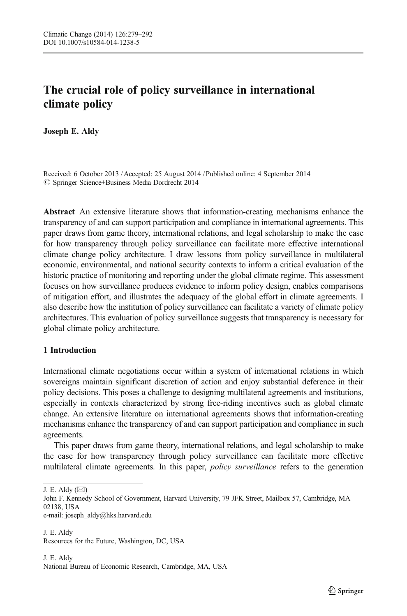# The crucial role of policy surveillance in international climate policy

Joseph E. Aldy

Received: 6 October 2013 /Accepted: 25 August 2014 / Published online: 4 September 2014  $\oslash$  Springer Science+Business Media Dordrecht 2014

Abstract An extensive literature shows that information-creating mechanisms enhance the transparency of and can support participation and compliance in international agreements. This paper draws from game theory, international relations, and legal scholarship to make the case for how transparency through policy surveillance can facilitate more effective international climate change policy architecture. I draw lessons from policy surveillance in multilateral economic, environmental, and national security contexts to inform a critical evaluation of the historic practice of monitoring and reporting under the global climate regime. This assessment focuses on how surveillance produces evidence to inform policy design, enables comparisons of mitigation effort, and illustrates the adequacy of the global effort in climate agreements. I also describe how the institution of policy surveillance can facilitate a variety of climate policy architectures. This evaluation of policy surveillance suggests that transparency is necessary for global climate policy architecture.

# 1 Introduction

International climate negotiations occur within a system of international relations in which sovereigns maintain significant discretion of action and enjoy substantial deference in their policy decisions. This poses a challenge to designing multilateral agreements and institutions, especially in contexts characterized by strong free-riding incentives such as global climate change. An extensive literature on international agreements shows that information-creating mechanisms enhance the transparency of and can support participation and compliance in such agreements.

This paper draws from game theory, international relations, and legal scholarship to make the case for how transparency through policy surveillance can facilitate more effective multilateral climate agreements. In this paper, policy surveillance refers to the generation

J. E. Aldy  $(\boxtimes)$ 

e-mail: joseph\_aldy@hks.harvard.edu

John F. Kennedy School of Government, Harvard University, 79 JFK Street, Mailbox 57, Cambridge, MA 02138, USA

J. E. Aldy Resources for the Future, Washington, DC, USA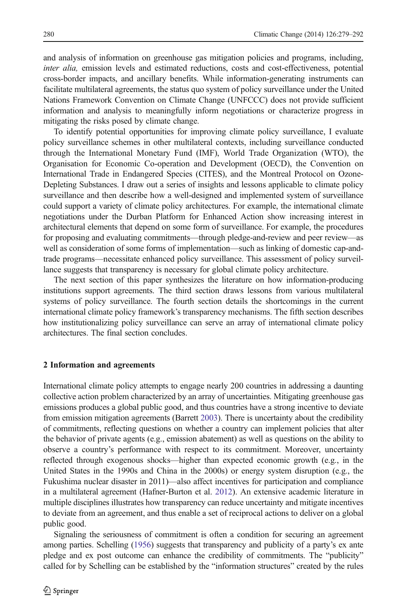and analysis of information on greenhouse gas mitigation policies and programs, including, inter alia, emission levels and estimated reductions, costs and cost-effectiveness, potential cross-border impacts, and ancillary benefits. While information-generating instruments can facilitate multilateral agreements, the status quo system of policy surveillance under the United Nations Framework Convention on Climate Change (UNFCCC) does not provide sufficient information and analysis to meaningfully inform negotiations or characterize progress in mitigating the risks posed by climate change.

To identify potential opportunities for improving climate policy surveillance, I evaluate policy surveillance schemes in other multilateral contexts, including surveillance conducted through the International Monetary Fund (IMF), World Trade Organization (WTO), the Organisation for Economic Co-operation and Development (OECD), the Convention on International Trade in Endangered Species (CITES), and the Montreal Protocol on Ozone-Depleting Substances. I draw out a series of insights and lessons applicable to climate policy surveillance and then describe how a well-designed and implemented system of surveillance could support a variety of climate policy architectures. For example, the international climate negotiations under the Durban Platform for Enhanced Action show increasing interest in architectural elements that depend on some form of surveillance. For example, the procedures for proposing and evaluating commitments—through pledge-and-review and peer review—as well as consideration of some forms of implementation—such as linking of domestic cap-andtrade programs—necessitate enhanced policy surveillance. This assessment of policy surveillance suggests that transparency is necessary for global climate policy architecture.

The next section of this paper synthesizes the literature on how information-producing institutions support agreements. The third section draws lessons from various multilateral systems of policy surveillance. The fourth section details the shortcomings in the current international climate policy framework's transparency mechanisms. The fifth section describes how institutionalizing policy surveillance can serve an array of international climate policy architectures. The final section concludes.

#### 2 Information and agreements

International climate policy attempts to engage nearly 200 countries in addressing a daunting collective action problem characterized by an array of uncertainties. Mitigating greenhouse gas emissions produces a global public good, and thus countries have a strong incentive to deviate from emission mitigation agreements (Barrett [2003](#page-11-0)). There is uncertainty about the credibility of commitments, reflecting questions on whether a country can implement policies that alter the behavior of private agents (e.g., emission abatement) as well as questions on the ability to observe a country's performance with respect to its commitment. Moreover, uncertainty reflected through exogenous shocks—higher than expected economic growth (e.g., in the United States in the 1990s and China in the 2000s) or energy system disruption (e.g., the Fukushima nuclear disaster in 2011)—also affect incentives for participation and compliance in a multilateral agreement (Hafner-Burton et al. [2012\)](#page-12-0). An extensive academic literature in multiple disciplines illustrates how transparency can reduce uncertainty and mitigate incentives to deviate from an agreement, and thus enable a set of reciprocal actions to deliver on a global public good.

Signaling the seriousness of commitment is often a condition for securing an agreement among parties. Schelling ([1956](#page-12-0)) suggests that transparency and publicity of a party's ex ante pledge and ex post outcome can enhance the credibility of commitments. The "publicity" called for by Schelling can be established by the "information structures" created by the rules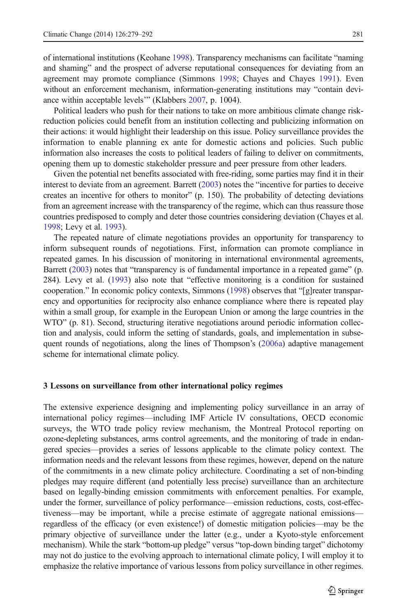of international institutions (Keohane [1998\)](#page-12-0). Transparency mechanisms can facilitate "naming and shaming" and the prospect of adverse reputational consequences for deviating from an agreement may promote compliance (Simmons [1998;](#page-12-0) Chayes and Chayes [1991](#page-12-0)). Even without an enforcement mechanism, information-generating institutions may "contain deviance within acceptable levels'" (Klabbers [2007](#page-12-0), p. 1004).

Political leaders who push for their nations to take on more ambitious climate change riskreduction policies could benefit from an institution collecting and publicizing information on their actions: it would highlight their leadership on this issue. Policy surveillance provides the information to enable planning ex ante for domestic actions and policies. Such public information also increases the costs to political leaders of failing to deliver on commitments, opening them up to domestic stakeholder pressure and peer pressure from other leaders.

Given the potential net benefits associated with free-riding, some parties may find it in their interest to deviate from an agreement. Barrett ([2003](#page-11-0)) notes the "incentive for parties to deceive creates an incentive for others to monitor" (p. 150). The probability of detecting deviations from an agreement increase with the transparency of the regime, which can thus reassure those countries predisposed to comply and deter those countries considering deviation (Chayes et al. [1998](#page-12-0); Levy et al. [1993\)](#page-12-0).

The repeated nature of climate negotiations provides an opportunity for transparency to inform subsequent rounds of negotiations. First, information can promote compliance in repeated games. In his discussion of monitoring in international environmental agreements, Barrett ([2003](#page-11-0)) notes that "transparency is of fundamental importance in a repeated game" (p. 284). Levy et al. ([1993](#page-12-0)) also note that "effective monitoring is a condition for sustained cooperation." In economic policy contexts, Simmons [\(1998\)](#page-12-0) observes that "[g]reater transparency and opportunities for reciprocity also enhance compliance where there is repeated play within a small group, for example in the European Union or among the large countries in the WTO" (p. 81). Second, structuring iterative negotiations around periodic information collection and analysis, could inform the setting of standards, goals, and implementation in subsequent rounds of negotiations, along the lines of Thompson's [\(2006a\)](#page-12-0) adaptive management scheme for international climate policy.

## 3 Lessons on surveillance from other international policy regimes

The extensive experience designing and implementing policy surveillance in an array of international policy regimes—including IMF Article IV consultations, OECD economic surveys, the WTO trade policy review mechanism, the Montreal Protocol reporting on ozone-depleting substances, arms control agreements, and the monitoring of trade in endangered species—provides a series of lessons applicable to the climate policy context. The information needs and the relevant lessons from these regimes, however, depend on the nature of the commitments in a new climate policy architecture. Coordinating a set of non-binding pledges may require different (and potentially less precise) surveillance than an architecture based on legally-binding emission commitments with enforcement penalties. For example, under the former, surveillance of policy performance—emission reductions, costs, cost-effectiveness—may be important, while a precise estimate of aggregate national emissions regardless of the efficacy (or even existence!) of domestic mitigation policies—may be the primary objective of surveillance under the latter (e.g., under a Kyoto-style enforcement mechanism). While the stark "bottom-up pledge" versus "top-down binding target" dichotomy may not do justice to the evolving approach to international climate policy, I will employ it to emphasize the relative importance of various lessons from policy surveillance in other regimes.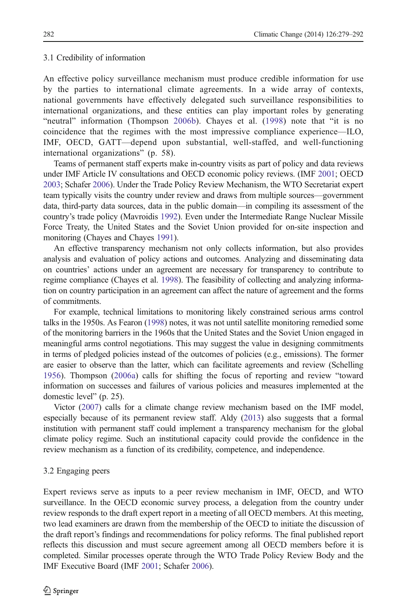## 3.1 Credibility of information

An effective policy surveillance mechanism must produce credible information for use by the parties to international climate agreements. In a wide array of contexts, national governments have effectively delegated such surveillance responsibilities to international organizations, and these entities can play important roles by generating "neutral" information (Thompson [2006b\)](#page-12-0). Chayes et al. ([1998\)](#page-12-0) note that "it is no coincidence that the regimes with the most impressive compliance experience—ILO, IMF, OECD, GATT—depend upon substantial, well-staffed, and well-functioning international organizations" (p. 58).

Teams of permanent staff experts make in-country visits as part of policy and data reviews under IMF Article IV consultations and OECD economic policy reviews. (IMF [2001](#page-12-0); OECD [2003](#page-12-0); Schafer [2006\)](#page-12-0). Under the Trade Policy Review Mechanism, the WTO Secretariat expert team typically visits the country under review and draws from multiple sources—government data, third-party data sources, data in the public domain—in compiling its assessment of the country's trade policy (Mavroidis [1992\)](#page-12-0). Even under the Intermediate Range Nuclear Missile Force Treaty, the United States and the Soviet Union provided for on-site inspection and monitoring (Chayes and Chayes [1991\)](#page-12-0).

An effective transparency mechanism not only collects information, but also provides analysis and evaluation of policy actions and outcomes. Analyzing and disseminating data on countries' actions under an agreement are necessary for transparency to contribute to regime compliance (Chayes et al. [1998\)](#page-12-0). The feasibility of collecting and analyzing information on country participation in an agreement can affect the nature of agreement and the forms of commitments.

For example, technical limitations to monitoring likely constrained serious arms control talks in the 1950s. As Fearon [\(1998\)](#page-12-0) notes, it was not until satellite monitoring remedied some of the monitoring barriers in the 1960s that the United States and the Soviet Union engaged in meaningful arms control negotiations. This may suggest the value in designing commitments in terms of pledged policies instead of the outcomes of policies (e.g., emissions). The former are easier to observe than the latter, which can facilitate agreements and review (Schelling [1956\)](#page-12-0). Thompson [\(2006a](#page-12-0)) calls for shifting the focus of reporting and review "toward information on successes and failures of various policies and measures implemented at the domestic level" (p. 25).

Victor [\(2007\)](#page-13-0) calls for a climate change review mechanism based on the IMF model, especially because of its permanent review staff. Aldy [\(2013\)](#page-11-0) also suggests that a formal institution with permanent staff could implement a transparency mechanism for the global climate policy regime. Such an institutional capacity could provide the confidence in the review mechanism as a function of its credibility, competence, and independence.

#### 3.2 Engaging peers

Expert reviews serve as inputs to a peer review mechanism in IMF, OECD, and WTO surveillance. In the OECD economic survey process, a delegation from the country under review responds to the draft expert report in a meeting of all OECD members. At this meeting, two lead examiners are drawn from the membership of the OECD to initiate the discussion of the draft report's findings and recommendations for policy reforms. The final published report reflects this discussion and must secure agreement among all OECD members before it is completed. Similar processes operate through the WTO Trade Policy Review Body and the IMF Executive Board (IMF [2001](#page-12-0); Schafer [2006\)](#page-12-0).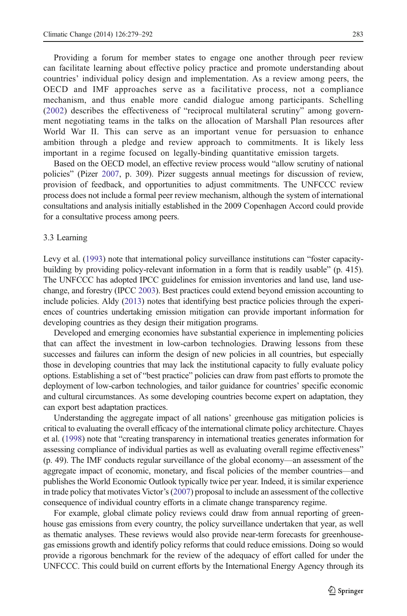Providing a forum for member states to engage one another through peer review can facilitate learning about effective policy practice and promote understanding about countries' individual policy design and implementation. As a review among peers, the OECD and IMF approaches serve as a facilitative process, not a compliance mechanism, and thus enable more candid dialogue among participants. Schelling ([2002](#page-12-0)) describes the effectiveness of "reciprocal multilateral scrutiny" among government negotiating teams in the talks on the allocation of Marshall Plan resources after World War II. This can serve as an important venue for persuasion to enhance ambition through a pledge and review approach to commitments. It is likely less important in a regime focused on legally-binding quantitative emission targets.

Based on the OECD model, an effective review process would "allow scrutiny of national policies" (Pizer [2007,](#page-12-0) p. 309). Pizer suggests annual meetings for discussion of review, provision of feedback, and opportunities to adjust commitments. The UNFCCC review process does not include a formal peer review mechanism, although the system of international consultations and analysis initially established in the 2009 Copenhagen Accord could provide for a consultative process among peers.

#### 3.3 Learning

Levy et al. [\(1993\)](#page-12-0) note that international policy surveillance institutions can "foster capacitybuilding by providing policy-relevant information in a form that is readily usable" (p. 415). The UNFCCC has adopted IPCC guidelines for emission inventories and land use, land usechange, and forestry (IPCC [2003\)](#page-12-0). Best practices could extend beyond emission accounting to include policies. Aldy [\(2013\)](#page-11-0) notes that identifying best practice policies through the experiences of countries undertaking emission mitigation can provide important information for developing countries as they design their mitigation programs.

Developed and emerging economies have substantial experience in implementing policies that can affect the investment in low-carbon technologies. Drawing lessons from these successes and failures can inform the design of new policies in all countries, but especially those in developing countries that may lack the institutional capacity to fully evaluate policy options. Establishing a set of "best practice" policies can draw from past efforts to promote the deployment of low-carbon technologies, and tailor guidance for countries' specific economic and cultural circumstances. As some developing countries become expert on adaptation, they can export best adaptation practices.

Understanding the aggregate impact of all nations' greenhouse gas mitigation policies is critical to evaluating the overall efficacy of the international climate policy architecture. Chayes et al. [\(1998](#page-12-0)) note that "creating transparency in international treaties generates information for assessing compliance of individual parties as well as evaluating overall regime effectiveness" (p. 49). The IMF conducts regular surveillance of the global economy—an assessment of the aggregate impact of economic, monetary, and fiscal policies of the member countries—and publishes the World Economic Outlook typically twice per year. Indeed, it is similar experience in trade policy that motivates Victor's [\(2007\)](#page-13-0) proposal to include an assessment of the collective consequence of individual country efforts in a climate change transparency regime.

For example, global climate policy reviews could draw from annual reporting of greenhouse gas emissions from every country, the policy surveillance undertaken that year, as well as thematic analyses. These reviews would also provide near-term forecasts for greenhousegas emissions growth and identify policy reforms that could reduce emissions. Doing so would provide a rigorous benchmark for the review of the adequacy of effort called for under the UNFCCC. This could build on current efforts by the International Energy Agency through its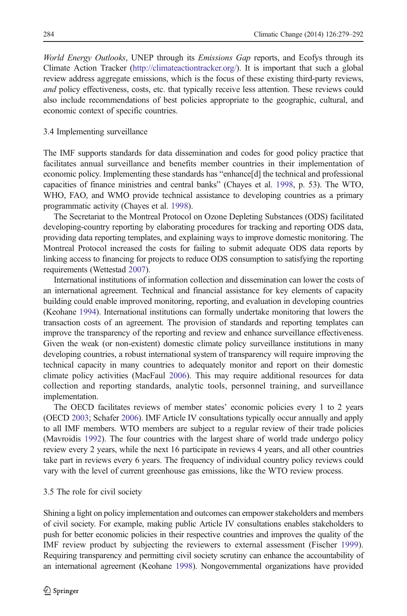World Energy Outlooks, UNEP through its Emissions Gap reports, and Ecofys through its Climate Action Tracker [\(http://climateactiontracker.org/](http://climateactiontracker.org/)). It is important that such a global review address aggregate emissions, which is the focus of these existing third-party reviews, and policy effectiveness, costs, etc. that typically receive less attention. These reviews could also include recommendations of best policies appropriate to the geographic, cultural, and economic context of specific countries.

## 3.4 Implementing surveillance

The IMF supports standards for data dissemination and codes for good policy practice that facilitates annual surveillance and benefits member countries in their implementation of economic policy. Implementing these standards has "enhance[d] the technical and professional capacities of finance ministries and central banks" (Chayes et al. [1998,](#page-12-0) p. 53). The WTO, WHO, FAO, and WMO provide technical assistance to developing countries as a primary programmatic activity (Chayes et al. [1998](#page-12-0)).

The Secretariat to the Montreal Protocol on Ozone Depleting Substances (ODS) facilitated developing-country reporting by elaborating procedures for tracking and reporting ODS data, providing data reporting templates, and explaining ways to improve domestic monitoring. The Montreal Protocol increased the costs for failing to submit adequate ODS data reports by linking access to financing for projects to reduce ODS consumption to satisfying the reporting requirements (Wettestad [2007](#page-13-0)).

International institutions of information collection and dissemination can lower the costs of an international agreement. Technical and financial assistance for key elements of capacity building could enable improved monitoring, reporting, and evaluation in developing countries (Keohane [1994\)](#page-12-0). International institutions can formally undertake monitoring that lowers the transaction costs of an agreement. The provision of standards and reporting templates can improve the transparency of the reporting and review and enhance surveillance effectiveness. Given the weak (or non-existent) domestic climate policy surveillance institutions in many developing countries, a robust international system of transparency will require improving the technical capacity in many countries to adequately monitor and report on their domestic climate policy activities (MacFaul [2006](#page-12-0)). This may require additional resources for data collection and reporting standards, analytic tools, personnel training, and surveillance implementation.

The OECD facilitates reviews of member states' economic policies every 1 to 2 years (OECD [2003;](#page-12-0) Schafer [2006](#page-12-0)). IMF Article IV consultations typically occur annually and apply to all IMF members. WTO members are subject to a regular review of their trade policies (Mavroidis [1992\)](#page-12-0). The four countries with the largest share of world trade undergo policy review every 2 years, while the next 16 participate in reviews 4 years, and all other countries take part in reviews every 6 years. The frequency of individual country policy reviews could vary with the level of current greenhouse gas emissions, like the WTO review process.

# 3.5 The role for civil society

Shining a light on policy implementation and outcomes can empower stakeholders and members of civil society. For example, making public Article IV consultations enables stakeholders to push for better economic policies in their respective countries and improves the quality of the IMF review product by subjecting the reviewers to external assessment (Fischer [1999](#page-12-0)). Requiring transparency and permitting civil society scrutiny can enhance the accountability of an international agreement (Keohane [1998\)](#page-12-0). Nongovernmental organizations have provided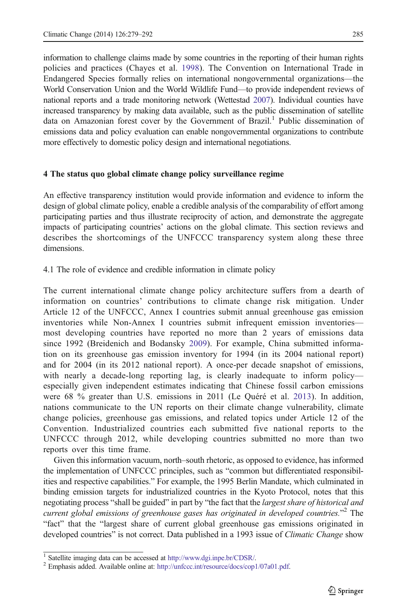information to challenge claims made by some countries in the reporting of their human rights policies and practices (Chayes et al. [1998](#page-12-0)). The Convention on International Trade in Endangered Species formally relies on international nongovernmental organizations—the World Conservation Union and the World Wildlife Fund—to provide independent reviews of national reports and a trade monitoring network (Wettestad [2007\)](#page-13-0). Individual counties have increased transparency by making data available, such as the public dissemination of satellite data on Amazonian forest cover by the Government of Brazil.<sup>1</sup> Public dissemination of emissions data and policy evaluation can enable nongovernmental organizations to contribute more effectively to domestic policy design and international negotiations.

## 4 The status quo global climate change policy surveillance regime

An effective transparency institution would provide information and evidence to inform the design of global climate policy, enable a credible analysis of the comparability of effort among participating parties and thus illustrate reciprocity of action, and demonstrate the aggregate impacts of participating countries' actions on the global climate. This section reviews and describes the shortcomings of the UNFCCC transparency system along these three dimensions.

4.1 The role of evidence and credible information in climate policy

The current international climate change policy architecture suffers from a dearth of information on countries' contributions to climate change risk mitigation. Under Article 12 of the UNFCCC, Annex I countries submit annual greenhouse gas emission inventories while Non-Annex I countries submit infrequent emission inventories most developing countries have reported no more than 2 years of emissions data since 1992 (Breidenich and Bodansky [2009\)](#page-11-0). For example, China submitted information on its greenhouse gas emission inventory for 1994 (in its 2004 national report) and for 2004 (in its 2012 national report). A once-per decade snapshot of emissions, with nearly a decade-long reporting lag, is clearly inadequate to inform policy especially given independent estimates indicating that Chinese fossil carbon emissions were 68 % greater than U.S. emissions in 2011 (Le Quéré et al. [2013](#page-12-0)). In addition, nations communicate to the UN reports on their climate change vulnerability, climate change policies, greenhouse gas emissions, and related topics under Article 12 of the Convention. Industrialized countries each submitted five national reports to the UNFCCC through 2012, while developing countries submitted no more than two reports over this time frame.

Given this information vacuum, north–south rhetoric, as opposed to evidence, has informed the implementation of UNFCCC principles, such as "common but differentiated responsibilities and respective capabilities." For example, the 1995 Berlin Mandate, which culminated in binding emission targets for industrialized countries in the Kyoto Protocol, notes that this negotiating process "shall be guided" in part by "the fact that the largest share of historical and current global emissions of greenhouse gases has originated in developed countries."<sup>2</sup> The "fact" that the "largest share of current global greenhouse gas emissions originated in developed countries" is not correct. Data published in a 1993 issue of *Climatic Change* show

<sup>1</sup> Satellite imaging data can be accessed at [http://www.dgi.inpe.br/CDSR/.](http://www.dgi.inpe.br/CDSR/) <sup>2</sup> Emphasis added. Available online at: [http://unfccc.int/resource/docs/cop1/07a01.pdf.](http://unfccc.int/resource/docs/cop1/07a01.pdf)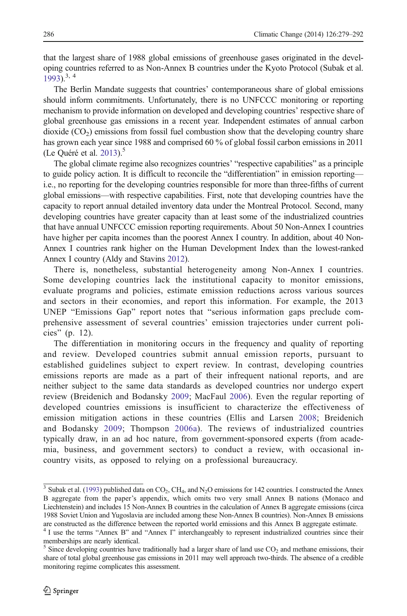that the largest share of 1988 global emissions of greenhouse gases originated in the developing countries referred to as Non-Annex B countries under the Kyoto Protocol (Subak et al.  $1993$ )<sup>3, 4</sup>

The Berlin Mandate suggests that countries' contemporaneous share of global emissions should inform commitments. Unfortunately, there is no UNFCCC monitoring or reporting mechanism to provide information on developed and developing countries' respective share of global greenhouse gas emissions in a recent year. Independent estimates of annual carbon dioxide  $(CO<sub>2</sub>)$  emissions from fossil fuel combustion show that the developing country share has grown each year since 1988 and comprised 60 % of global fossil carbon emissions in 2011 (Le Quéré et al.  $2013$ ).<sup>5</sup>

The global climate regime also recognizes countries' "respective capabilities" as a principle to guide policy action. It is difficult to reconcile the "differentiation" in emission reporting i.e., no reporting for the developing countries responsible for more than three-fifths of current global emissions—with respective capabilities. First, note that developing countries have the capacity to report annual detailed inventory data under the Montreal Protocol. Second, many developing countries have greater capacity than at least some of the industrialized countries that have annual UNFCCC emission reporting requirements. About 50 Non-Annex I countries have higher per capita incomes than the poorest Annex I country. In addition, about 40 Non-Annex I countries rank higher on the Human Development Index than the lowest-ranked Annex I country (Aldy and Stavins [2012](#page-11-0)).

There is, nonetheless, substantial heterogeneity among Non-Annex I countries. Some developing countries lack the institutional capacity to monitor emissions, evaluate programs and policies, estimate emission reductions across various sources and sectors in their economies, and report this information. For example, the 2013 UNEP "Emissions Gap" report notes that "serious information gaps preclude comprehensive assessment of several countries' emission trajectories under current policies" (p. 12).

The differentiation in monitoring occurs in the frequency and quality of reporting and review. Developed countries submit annual emission reports, pursuant to established guidelines subject to expert review. In contrast, developing countries emissions reports are made as a part of their infrequent national reports, and are neither subject to the same data standards as developed countries nor undergo expert review (Breidenich and Bodansky [2009](#page-11-0); MacFaul [2006](#page-12-0)). Even the regular reporting of developed countries emissions is insufficient to characterize the effectiveness of emission mitigation actions in these countries (Ellis and Larsen [2008](#page-12-0); Breidenich and Bodansky [2009](#page-11-0); Thompson [2006a](#page-12-0)). The reviews of industrialized countries typically draw, in an ad hoc nature, from government-sponsored experts (from academia, business, and government sectors) to conduct a review, with occasional incountry visits, as opposed to relying on a professional bureaucracy.

<sup>&</sup>lt;sup>3</sup> Subak et al. [\(1993\)](#page-12-0) published data on  $CO_2$ ,  $CH_4$ , and  $N_2O$  emissions for 142 countries. I constructed the Annex B aggregate from the paper's appendix, which omits two very small Annex B nations (Monaco and Liechtenstein) and includes 15 Non-Annex B countries in the calculation of Annex B aggregate emissions (circa 1988 Soviet Union and Yugoslavia are included among these Non-Annex B countries). Non-Annex B emissions are constructed as the difference between the reported world emissions and this Annex B aggregate estimate.

<sup>4</sup> I use the terms "Annex B" and "Annex I" interchangeably to represent industrialized countries since their memberships are nearly identical.

 $<sup>5</sup>$  Since developing countries have traditionally had a larger share of land use CO<sub>2</sub> and methane emissions, their</sup> share of total global greenhouse gas emissions in 2011 may well approach two-thirds. The absence of a credible monitoring regime complicates this assessment.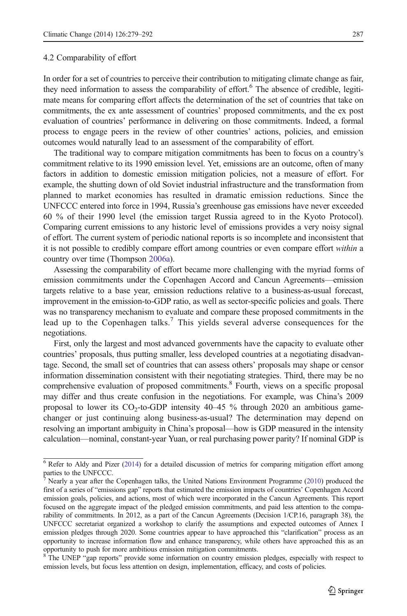In order for a set of countries to perceive their contribution to mitigating climate change as fair, they need information to assess the comparability of effort.<sup>6</sup> The absence of credible, legitimate means for comparing effort affects the determination of the set of countries that take on commitments, the ex ante assessment of countries' proposed commitments, and the ex post evaluation of countries' performance in delivering on those commitments. Indeed, a formal process to engage peers in the review of other countries' actions, policies, and emission outcomes would naturally lead to an assessment of the comparability of effort.

The traditional way to compare mitigation commitments has been to focus on a country's commitment relative to its 1990 emission level. Yet, emissions are an outcome, often of many factors in addition to domestic emission mitigation policies, not a measure of effort. For example, the shutting down of old Soviet industrial infrastructure and the transformation from planned to market economies has resulted in dramatic emission reductions. Since the UNFCCC entered into force in 1994, Russia's greenhouse gas emissions have never exceeded 60 % of their 1990 level (the emission target Russia agreed to in the Kyoto Protocol). Comparing current emissions to any historic level of emissions provides a very noisy signal of effort. The current system of periodic national reports is so incomplete and inconsistent that it is not possible to credibly compare effort among countries or even compare effort within a country over time (Thompson [2006a\)](#page-12-0).

Assessing the comparability of effort became more challenging with the myriad forms of emission commitments under the Copenhagen Accord and Cancun Agreements—emission targets relative to a base year, emission reductions relative to a business-as-usual forecast, improvement in the emission-to-GDP ratio, as well as sector-specific policies and goals. There was no transparency mechanism to evaluate and compare these proposed commitments in the lead up to the Copenhagen talks.<sup>7</sup> This yields several adverse consequences for the negotiations.

First, only the largest and most advanced governments have the capacity to evaluate other countries' proposals, thus putting smaller, less developed countries at a negotiating disadvantage. Second, the small set of countries that can assess others' proposals may shape or censor information dissemination consistent with their negotiating strategies. Third, there may be no comprehensive evaluation of proposed commitments.<sup>8</sup> Fourth, views on a specific proposal may differ and thus create confusion in the negotiations. For example, was China's 2009 proposal to lower its  $CO_2$ -to-GDP intensity 40–45 % through 2020 an ambitious gamechanger or just continuing along business-as-usual? The determination may depend on resolving an important ambiguity in China's proposal—how is GDP measured in the intensity calculation—nominal, constant-year Yuan, or real purchasing power parity? If nominal GDP is

 $6$  Refer to Aldy and Pizer [\(2014\)](#page-11-0) for a detailed discussion of metrics for comparing mitigation effort among parties to the UNFCCC.

Nearly a year after the Copenhagen talks, the United Nations Environment Programme [\(2010\)](#page-12-0) produced the first of a series of "emissions gap" reports that estimated the emission impacts of countries' Copenhagen Accord emission goals, policies, and actions, most of which were incorporated in the Cancun Agreements. This report focused on the aggregate impact of the pledged emission commitments, and paid less attention to the comparability of commitments. In 2012, as a part of the Cancun Agreements (Decision 1/CP.16, paragraph 38), the UNFCCC secretariat organized a workshop to clarify the assumptions and expected outcomes of Annex I emission pledges through 2020. Some countries appear to have approached this "clarification" process as an opportunity to increase information flow and enhance transparency, while others have approached this as an opportunity to push for more ambitious emission mitigation commitments.

<sup>&</sup>lt;sup>8</sup> The UNEP "gap reports" provide some information on country emission pledges, especially with respect to emission levels, but focus less attention on design, implementation, efficacy, and costs of policies.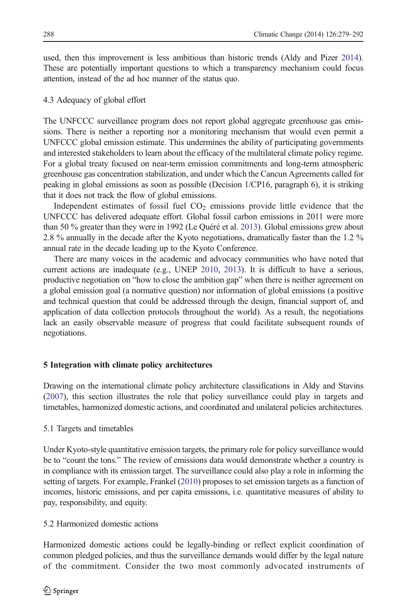used, then this improvement is less ambitious than historic trends (Aldy and Pizer [2014](#page-11-0)). These are potentially important questions to which a transparency mechanism could focus attention, instead of the ad hoc manner of the status quo.

# 4.3 Adequacy of global effort

The UNFCCC surveillance program does not report global aggregate greenhouse gas emissions. There is neither a reporting nor a monitoring mechanism that would even permit a UNFCCC global emission estimate. This undermines the ability of participating governments and interested stakeholders to learn about the efficacy of the multilateral climate policy regime. For a global treaty focused on near-term emission commitments and long-term atmospheric greenhouse gas concentration stabilization, and under which the Cancun Agreements called for peaking in global emissions as soon as possible (Decision 1/CP16, paragraph 6), it is striking that it does not track the flow of global emissions.

Independent estimates of fossil fuel  $CO<sub>2</sub>$  emissions provide little evidence that the UNFCCC has delivered adequate effort. Global fossil carbon emissions in 2011 were more than 50 % greater than they were in 1992 (Le Quéré et al. [2013](#page-12-0)). Global emissions grew about 2.8 % annually in the decade after the Kyoto negotiations, dramatically faster than the 1.2 % annual rate in the decade leading up to the Kyoto Conference.

There are many voices in the academic and advocacy communities who have noted that current actions are inadequate (e.g., UNEP [2010,](#page-12-0) [2013\)](#page-12-0). It is difficult to have a serious, productive negotiation on "how to close the ambition gap" when there is neither agreement on a global emission goal (a normative question) nor information of global emissions (a positive and technical question that could be addressed through the design, financial support of, and application of data collection protocols throughout the world). As a result, the negotiations lack an easily observable measure of progress that could facilitate subsequent rounds of negotiations.

## 5 Integration with climate policy architectures

Drawing on the international climate policy architecture classifications in Aldy and Stavins ([2007](#page-11-0)), this section illustrates the role that policy surveillance could play in targets and timetables, harmonized domestic actions, and coordinated and unilateral policies architectures.

## 5.1 Targets and timetables

Under Kyoto-style quantitative emission targets, the primary role for policy surveillance would be to "count the tons." The review of emissions data would demonstrate whether a country is in compliance with its emission target. The surveillance could also play a role in informing the setting of targets. For example, Frankel [\(2010\)](#page-12-0) proposes to set emission targets as a function of incomes, historic emissions, and per capita emissions, i.e. quantitative measures of ability to pay, responsibility, and equity.

5.2 Harmonized domestic actions

Harmonized domestic actions could be legally-binding or reflect explicit coordination of common pledged policies, and thus the surveillance demands would differ by the legal nature of the commitment. Consider the two most commonly advocated instruments of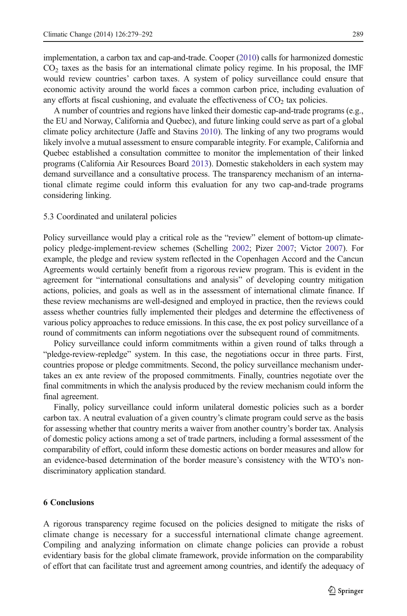implementation, a carbon tax and cap-and-trade. Cooper [\(2010\)](#page-12-0) calls for harmonized domestic  $CO<sub>2</sub>$  taxes as the basis for an international climate policy regime. In his proposal, the IMF would review countries' carbon taxes. A system of policy surveillance could ensure that economic activity around the world faces a common carbon price, including evaluation of any efforts at fiscal cushioning, and evaluate the effectiveness of  $CO<sub>2</sub>$  tax policies.

A number of countries and regions have linked their domestic cap-and-trade programs (e.g., the EU and Norway, California and Quebec), and future linking could serve as part of a global climate policy architecture (Jaffe and Stavins [2010](#page-12-0)). The linking of any two programs would likely involve a mutual assessment to ensure comparable integrity. For example, California and Quebec established a consultation committee to monitor the implementation of their linked programs (California Air Resources Board [2013](#page-11-0)). Domestic stakeholders in each system may demand surveillance and a consultative process. The transparency mechanism of an international climate regime could inform this evaluation for any two cap-and-trade programs considering linking.

#### 5.3 Coordinated and unilateral policies

Policy surveillance would play a critical role as the "review" element of bottom-up climatepolicy pledge-implement-review schemes (Schelling [2002](#page-12-0); Pizer [2007;](#page-12-0) Victor [2007](#page-13-0)). For example, the pledge and review system reflected in the Copenhagen Accord and the Cancun Agreements would certainly benefit from a rigorous review program. This is evident in the agreement for "international consultations and analysis" of developing country mitigation actions, policies, and goals as well as in the assessment of international climate finance. If these review mechanisms are well-designed and employed in practice, then the reviews could assess whether countries fully implemented their pledges and determine the effectiveness of various policy approaches to reduce emissions. In this case, the ex post policy surveillance of a round of commitments can inform negotiations over the subsequent round of commitments.

Policy surveillance could inform commitments within a given round of talks through a "pledge-review-repledge" system. In this case, the negotiations occur in three parts. First, countries propose or pledge commitments. Second, the policy surveillance mechanism undertakes an ex ante review of the proposed commitments. Finally, countries negotiate over the final commitments in which the analysis produced by the review mechanism could inform the final agreement.

Finally, policy surveillance could inform unilateral domestic policies such as a border carbon tax. A neutral evaluation of a given country's climate program could serve as the basis for assessing whether that country merits a waiver from another country's border tax. Analysis of domestic policy actions among a set of trade partners, including a formal assessment of the comparability of effort, could inform these domestic actions on border measures and allow for an evidence-based determination of the border measure's consistency with the WTO's nondiscriminatory application standard.

## 6 Conclusions

A rigorous transparency regime focused on the policies designed to mitigate the risks of climate change is necessary for a successful international climate change agreement. Compiling and analyzing information on climate change policies can provide a robust evidentiary basis for the global climate framework, provide information on the comparability of effort that can facilitate trust and agreement among countries, and identify the adequacy of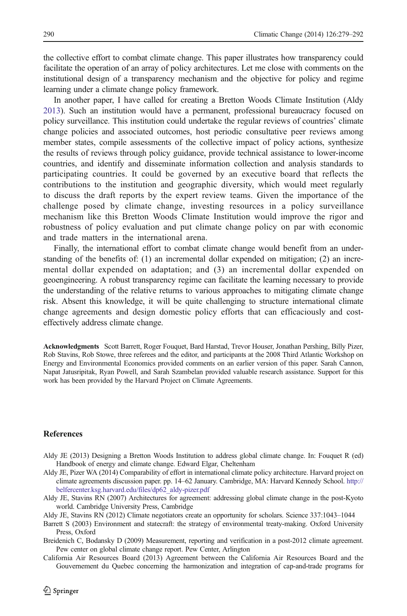<span id="page-11-0"></span>the collective effort to combat climate change. This paper illustrates how transparency could facilitate the operation of an array of policy architectures. Let me close with comments on the institutional design of a transparency mechanism and the objective for policy and regime learning under a climate change policy framework.

In another paper, I have called for creating a Bretton Woods Climate Institution (Aldy 2013). Such an institution would have a permanent, professional bureaucracy focused on policy surveillance. This institution could undertake the regular reviews of countries' climate change policies and associated outcomes, host periodic consultative peer reviews among member states, compile assessments of the collective impact of policy actions, synthesize the results of reviews through policy guidance, provide technical assistance to lower-income countries, and identify and disseminate information collection and analysis standards to participating countries. It could be governed by an executive board that reflects the contributions to the institution and geographic diversity, which would meet regularly to discuss the draft reports by the expert review teams. Given the importance of the challenge posed by climate change, investing resources in a policy surveillance mechanism like this Bretton Woods Climate Institution would improve the rigor and robustness of policy evaluation and put climate change policy on par with economic and trade matters in the international arena.

Finally, the international effort to combat climate change would benefit from an understanding of the benefits of: (1) an incremental dollar expended on mitigation; (2) an incremental dollar expended on adaptation; and (3) an incremental dollar expended on geoengineering. A robust transparency regime can facilitate the learning necessary to provide the understanding of the relative returns to various approaches to mitigating climate change risk. Absent this knowledge, it will be quite challenging to structure international climate change agreements and design domestic policy efforts that can efficaciously and costeffectively address climate change.

Acknowledgments Scott Barrett, Roger Fouquet, Bard Harstad, Trevor Houser, Jonathan Pershing, Billy Pizer, Rob Stavins, Rob Stowe, three referees and the editor, and participants at the 2008 Third Atlantic Workshop on Energy and Environmental Economics provided comments on an earlier version of this paper. Sarah Cannon, Napat Jatusripitak, Ryan Powell, and Sarah Szambelan provided valuable research assistance. Support for this work has been provided by the Harvard Project on Climate Agreements.

## **References**

- Aldy JE (2013) Designing a Bretton Woods Institution to address global climate change. In: Fouquet R (ed) Handbook of energy and climate change. Edward Elgar, Cheltenham
- Aldy JE, Pizer WA (2014) Comparability of effort in international climate policy architecture. Harvard project on climate agreements discussion paper. pp. 14–62 January. Cambridge, MA: Harvard Kennedy School. [http://](http://climateactiontracker.org/) [belfercenter.ksg.harvard.edu/files/dp62\\_aldy-pizer.pdf](http://climateactiontracker.org/)
- Aldy JE, Stavins RN (2007) Architectures for agreement: addressing global climate change in the post-Kyoto world. Cambridge University Press, Cambridge
- Aldy JE, Stavins RN (2012) Climate negotiators create an opportunity for scholars. Science 337:1043–1044
- Barrett S (2003) Environment and statecraft: the strategy of environmental treaty-making. Oxford University Press, Oxford
- Breidenich C, Bodansky D (2009) Measurement, reporting and verification in a post-2012 climate agreement. Pew center on global climate change report. Pew Center, Arlington
- California Air Resources Board (2013) Agreement between the California Air Resources Board and the Gouvernement du Quebec concerning the harmonization and integration of cap-and-trade programs for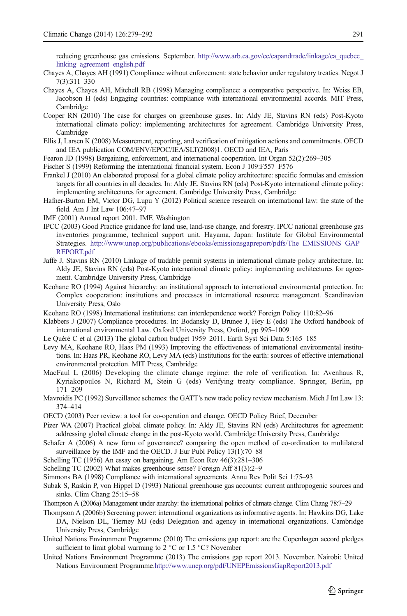<span id="page-12-0"></span>reducing greenhouse gas emissions. September. [http://www.arb.ca.gov/cc/capandtrade/linkage/ca\\_quebec\\_](http://www.dgi.inpe.br/CDSR/) [linking\\_agreement\\_english.pdf](http://www.dgi.inpe.br/CDSR/)

- Chayes A, Chayes AH (1991) Compliance without enforcement: state behavior under regulatory treaties. Negot J 7(3):311–330
- Chayes A, Chayes AH, Mitchell RB (1998) Managing compliance: a comparative perspective. In: Weiss EB, Jacobson H (eds) Engaging countries: compliance with international environmental accords. MIT Press, Cambridge
- Cooper RN (2010) The case for charges on greenhouse gases. In: Aldy JE, Stavins RN (eds) Post-Kyoto international climate policy: implementing architectures for agreement. Cambridge University Press, Cambridge
- Ellis J, Larsen K (2008) Measurement, reporting, and verification of mitigation actions and commitments. OECD and IEA publication COM/ENV/EPOC/IEA/SLT(2008)1. OECD and IEA, Paris
- Fearon JD (1998) Bargaining, enforcement, and international cooperation. Int Organ 52(2):269–305
- Fischer S (1999) Reforming the international financial system. Econ J 109:F557–F576
- Frankel J (2010) An elaborated proposal for a global climate policy architecture: specific formulas and emission targets for all countries in all decades. In: Aldy JE, Stavins RN (eds) Post-Kyoto international climate policy: implementing architectures for agreement. Cambridge University Press, Cambridge
- Hafner-Burton EM, Victor DG, Lupu Y (2012) Political science research on international law: the state of the field. Am J Int Law 106:47–97
- IMF (2001) Annual report 2001. IMF, Washington
- IPCC (2003) Good Practice guidance for land use, land-use change, and forestry. IPCC national greenhouse gas inventories programme, technical support unit. Hayama, Japan: Institute for Global Environmental Strategies. [http://www.unep.org/publications/ebooks/emissionsgapreport/pdfs/The\\_EMISSIONS\\_GAP\\_](http://unfccc.int/resource/docs/cop1/07a01.pdf) [REPORT.pdf](http://unfccc.int/resource/docs/cop1/07a01.pdf)
- Jaffe J, Stavins RN (2010) Linkage of tradable permit systems in international climate policy architecture. In: Aldy JE, Stavins RN (eds) Post-Kyoto international climate policy: implementing architectures for agreement. Cambridge University Press, Cambridge
- Keohane RO (1994) Against hierarchy: an institutional approach to international environmental protection. In: Complex cooperation: institutions and processes in international resource management. Scandinavian University Press, Oslo
- Keohane RO (1998) International institutions: can interdependence work? Foreign Policy 110:82–96
- Klabbers J (2007) Compliance procedures. In: Bodansky D, Brunee J, Hey E (eds) The Oxford handbook of international environmental Law. Oxford University Press, Oxford, pp 995–1009
- Le Quéré C et al (2013) The global carbon budget 1959–2011. Earth Syst Sci Data 5:165–185
- Levy MA, Keohane RO, Haas PM (1993) Improving the effectiveness of international environmental institutions. In: Haas PR, Keohane RO, Levy MA (eds) Institutions for the earth: sources of effective international environmental protection. MIT Press, Cambridge
- MacFaul L (2006) Developing the climate change regime: the role of verification. In: Avenhaus R, Kyriakopoulos N, Richard M, Stein G (eds) Verifying treaty compliance. Springer, Berlin, pp 171–209
- Mavroidis PC (1992) Surveillance schemes: the GATT's new trade policy review mechanism. Mich J Int Law 13: 374–414
- OECD (2003) Peer review: a tool for co-operation and change. OECD Policy Brief, December
- Pizer WA (2007) Practical global climate policy. In: Aldy JE, Stavins RN (eds) Architectures for agreement: addressing global climate change in the post-Kyoto world. Cambridge University Press, Cambridge
- Schafer A (2006) A new form of governance? comparing the open method of co-ordination to multilateral surveillance by the IMF and the OECD. J Eur Publ Policy 13(1):70–88
- Schelling TC (1956) An essay on bargaining. Am Econ Rev 46(3):281–306
- Schelling TC (2002) What makes greenhouse sense? Foreign Aff 81(3):2–9
- Simmons BA (1998) Compliance with international agreements. Annu Rev Polit Sci 1:75–93
- Subak S, Raskin P, von Hippel D (1993) National greenhouse gas accounts: current anthropogenic sources and sinks. Clim Chang 25:15–58
- Thompson A (2006a) Management under anarchy: the international politics of climate change. Clim Chang 78:7–29
- Thompson A (2006b) Screening power: international organizations as informative agents. In: Hawkins DG, Lake DA, Nielson DL, Tierney MJ (eds) Delegation and agency in international organizations. Cambridge University Press, Cambridge
- United Nations Environment Programme (2010) The emissions gap report: are the Copenhagen accord pledges sufficient to limit global warming to 2 °C or 1.5 °C? November
- United Nations Environment Programme (2013) The emissions gap report 2013. November. Nairobi: United Nations Environment Programme[.http://www.unep.org/pdf/UNEPEmissionsGapReport2013.pdf](http://www.unep.org/pdf/UNEPEmissionsGapReport2013.pdf)